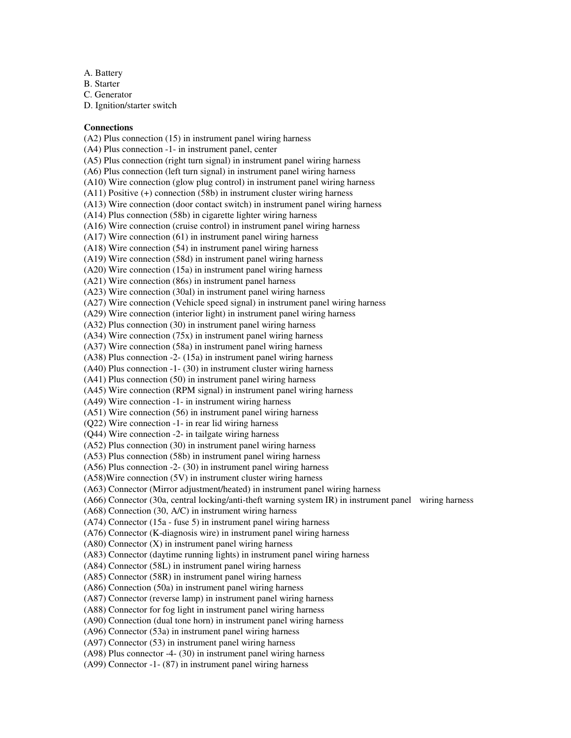- A. Battery
- B. Starter

C. Generator

D. Ignition/starter switch

## **Connections**

(A2) Plus connection (15) in instrument panel wiring harness (A4) Plus connection -1- in instrument panel, center (A5) Plus connection (right turn signal) in instrument panel wiring harness (A6) Plus connection (left turn signal) in instrument panel wiring harness (A10) Wire connection (glow plug control) in instrument panel wiring harness (A11) Positive (+) connection (58b) in instrument cluster wiring harness (A13) Wire connection (door contact switch) in instrument panel wiring harness (A14) Plus connection (58b) in cigarette lighter wiring harness (A16) Wire connection (cruise control) in instrument panel wiring harness (A17) Wire connection (61) in instrument panel wiring harness (A18) Wire connection (54) in instrument panel wiring harness (A19) Wire connection (58d) in instrument panel wiring harness (A20) Wire connection (15a) in instrument panel wiring harness (A21) Wire connection (86s) in instrument panel harness (A23) Wire connection (30al) in instrument panel wiring harness (A27) Wire connection (Vehicle speed signal) in instrument panel wiring harness (A29) Wire connection (interior light) in instrument panel wiring harness (A32) Plus connection (30) in instrument panel wiring harness (A34) Wire connection (75x) in instrument panel wiring harness (A37) Wire connection (58a) in instrument panel wiring harness (A38) Plus connection -2- (15a) in instrument panel wiring harness (A40) Plus connection -1- (30) in instrument cluster wiring harness (A41) Plus connection (50) in instrument panel wiring harness (A45) Wire connection (RPM signal) in instrument panel wiring harness (A49) Wire connection -1- in instrument wiring harness (A51) Wire connection (56) in instrument panel wiring harness (Q22) Wire connection -1- in rear lid wiring harness (Q44) Wire connection -2- in tailgate wiring harness (A52) Plus connection (30) in instrument panel wiring harness (A53) Plus connection (58b) in instrument panel wiring harness (A56) Plus connection -2- (30) in instrument panel wiring harness (A58)Wire connection (5V) in instrument cluster wiring harness (A63) Connector (Mirror adjustment/heated) in instrument panel wiring harness (A66) Connector (30a, central locking/anti-theft warning system IR) in instrument panel wiring harness (A68) Connection (30, A/C) in instrument wiring harness (A74) Connector (15a - fuse 5) in instrument panel wiring harness (A76) Connector (K-diagnosis wire) in instrument panel wiring harness (A80) Connector (X) in instrument panel wiring harness (A83) Connector (daytime running lights) in instrument panel wiring harness (A84) Connector (58L) in instrument panel wiring harness (A85) Connector (58R) in instrument panel wiring harness (A86) Connection (50a) in instrument panel wiring harness (A87) Connector (reverse lamp) in instrument panel wiring harness (A88) Connector for fog light in instrument panel wiring harness (A90) Connection (dual tone horn) in instrument panel wiring harness (A96) Connector (53a) in instrument panel wiring harness (A97) Connector (53) in instrument panel wiring harness (A98) Plus connector -4- (30) in instrument panel wiring harness

(A99) Connector -1- (87) in instrument panel wiring harness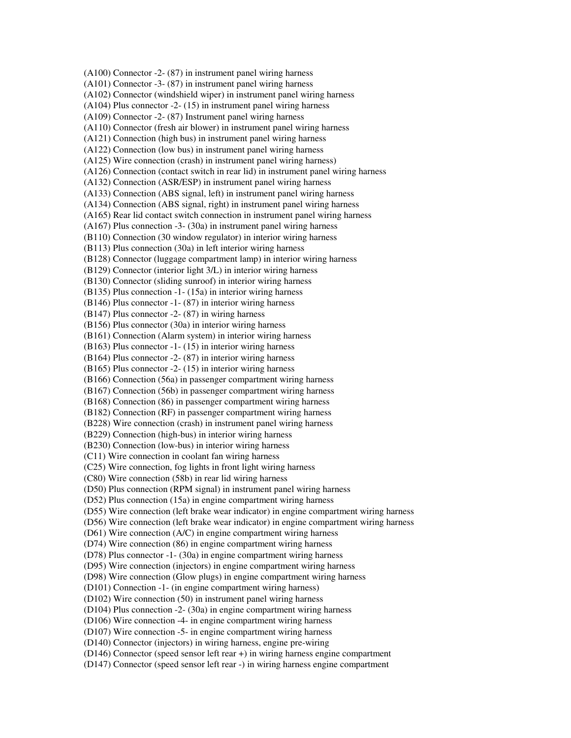(A100) Connector -2- (87) in instrument panel wiring harness (A101) Connector -3- (87) in instrument panel wiring harness (A102) Connector (windshield wiper) in instrument panel wiring harness (A104) Plus connector -2- (15) in instrument panel wiring harness (A109) Connector -2- (87) Instrument panel wiring harness (A110) Connector (fresh air blower) in instrument panel wiring harness (A121) Connection (high bus) in instrument panel wiring harness (A122) Connection (low bus) in instrument panel wiring harness (A125) Wire connection (crash) in instrument panel wiring harness) (A126) Connection (contact switch in rear lid) in instrument panel wiring harness (A132) Connection (ASR/ESP) in instrument panel wiring harness (A133) Connection (ABS signal, left) in instrument panel wiring harness (A134) Connection (ABS signal, right) in instrument panel wiring harness (A165) Rear lid contact switch connection in instrument panel wiring harness (A167) Plus connection -3- (30a) in instrument panel wiring harness (B110) Connection (30 window regulator) in interior wiring harness (B113) Plus connection (30a) in left interior wiring harness (B128) Connector (luggage compartment lamp) in interior wiring harness (B129) Connector (interior light 3/L) in interior wiring harness (B130) Connector (sliding sunroof) in interior wiring harness (B135) Plus connection -1- (15a) in interior wiring harness (B146) Plus connector -1- (87) in interior wiring harness (B147) Plus connector -2- (87) in wiring harness (B156) Plus connector (30a) in interior wiring harness (B161) Connection (Alarm system) in interior wiring harness (B163) Plus connector -1- (15) in interior wiring harness (B164) Plus connector -2- (87) in interior wiring harness (B165) Plus connector -2- (15) in interior wiring harness (B166) Connection (56a) in passenger compartment wiring harness (B167) Connection (56b) in passenger compartment wiring harness (B168) Connection (86) in passenger compartment wiring harness (B182) Connection (RF) in passenger compartment wiring harness (B228) Wire connection (crash) in instrument panel wiring harness (B229) Connection (high-bus) in interior wiring harness (B230) Connection (low-bus) in interior wiring harness (C11) Wire connection in coolant fan wiring harness (C25) Wire connection, fog lights in front light wiring harness (C80) Wire connection (58b) in rear lid wiring harness (D50) Plus connection (RPM signal) in instrument panel wiring harness (D52) Plus connection (15a) in engine compartment wiring harness (D55) Wire connection (left brake wear indicator) in engine compartment wiring harness (D56) Wire connection (left brake wear indicator) in engine compartment wiring harness (D61) Wire connection (A/C) in engine compartment wiring harness (D74) Wire connection (86) in engine compartment wiring harness (D78) Plus connector -1- (30a) in engine compartment wiring harness (D95) Wire connection (injectors) in engine compartment wiring harness (D98) Wire connection (Glow plugs) in engine compartment wiring harness (D101) Connection -1- (in engine compartment wiring harness) (D102) Wire connection (50) in instrument panel wiring harness (D104) Plus connection -2- (30a) in engine compartment wiring harness (D106) Wire connection -4- in engine compartment wiring harness (D107) Wire connection -5- in engine compartment wiring harness (D140) Connector (injectors) in wiring harness, engine pre-wiring (D146) Connector (speed sensor left rear +) in wiring harness engine compartment (D147) Connector (speed sensor left rear -) in wiring harness engine compartment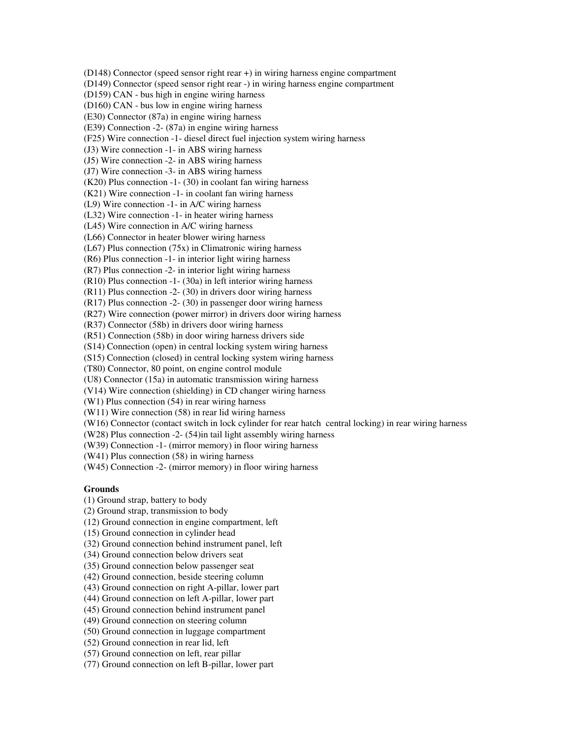(D148) Connector (speed sensor right rear +) in wiring harness engine compartment (D149) Connector (speed sensor right rear -) in wiring harness engine compartment (D159) CAN - bus high in engine wiring harness (D160) CAN - bus low in engine wiring harness (E30) Connector (87a) in engine wiring harness (E39) Connection -2- (87a) in engine wiring harness (F25) Wire connection -1- diesel direct fuel injection system wiring harness (J3) Wire connection -1- in ABS wiring harness (J5) Wire connection -2- in ABS wiring harness (J7) Wire connection -3- in ABS wiring harness (K20) Plus connection -1- (30) in coolant fan wiring harness (K21) Wire connection -1- in coolant fan wiring harness (L9) Wire connection -1- in A/C wiring harness (L32) Wire connection -1- in heater wiring harness (L45) Wire connection in A/C wiring harness (L66) Connector in heater blower wiring harness (L67) Plus connection (75x) in Climatronic wiring harness (R6) Plus connection -1- in interior light wiring harness (R7) Plus connection -2- in interior light wiring harness (R10) Plus connection -1- (30a) in left interior wiring harness (R11) Plus connection -2- (30) in drivers door wiring harness (R17) Plus connection -2- (30) in passenger door wiring harness (R27) Wire connection (power mirror) in drivers door wiring harness (R37) Connector (58b) in drivers door wiring harness (R51) Connection (58b) in door wiring harness drivers side (S14) Connection (open) in central locking system wiring harness (S15) Connection (closed) in central locking system wiring harness (T80) Connector, 80 point, on engine control module (U8) Connector (15a) in automatic transmission wiring harness (V14) Wire connection (shielding) in CD changer wiring harness (W1) Plus connection (54) in rear wiring harness (W11) Wire connection (58) in rear lid wiring harness (W16) Connector (contact switch in lock cylinder for rear hatch central locking) in rear wiring harness (W28) Plus connection -2- (54)in tail light assembly wiring harness (W39) Connection -1- (mirror memory) in floor wiring harness (W41) Plus connection (58) in wiring harness (W45) Connection -2- (mirror memory) in floor wiring harness

## **Grounds**

- (1) Ground strap, battery to body
- (2) Ground strap, transmission to body
- (12) Ground connection in engine compartment, left
- (15) Ground connection in cylinder head
- (32) Ground connection behind instrument panel, left
- (34) Ground connection below drivers seat
- (35) Ground connection below passenger seat
- (42) Ground connection, beside steering column
- (43) Ground connection on right A-pillar, lower part
- (44) Ground connection on left A-pillar, lower part
- (45) Ground connection behind instrument panel
- (49) Ground connection on steering column
- (50) Ground connection in luggage compartment
- (52) Ground connection in rear lid, left
- (57) Ground connection on left, rear pillar
- (77) Ground connection on left B-pillar, lower part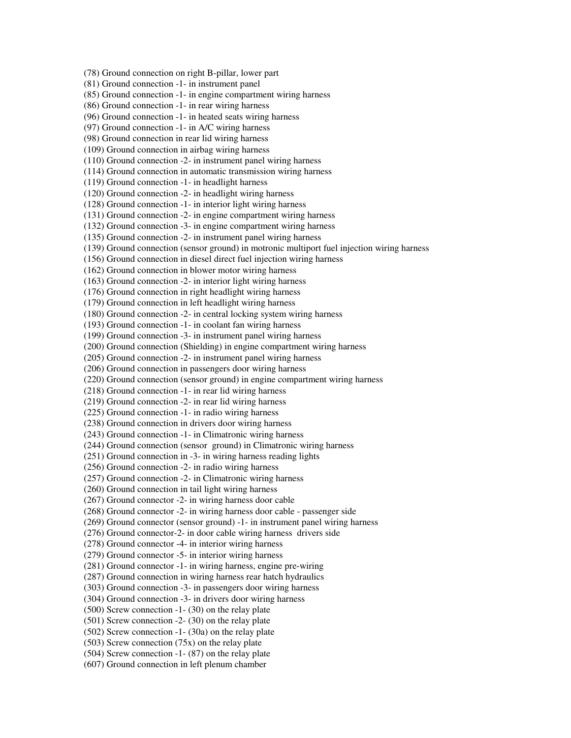(78) Ground connection on right B-pillar, lower part (81) Ground connection -1- in instrument panel (85) Ground connection -1- in engine compartment wiring harness (86) Ground connection -1- in rear wiring harness (96) Ground connection -1- in heated seats wiring harness (97) Ground connection -1- in A/C wiring harness (98) Ground connection in rear lid wiring harness (109) Ground connection in airbag wiring harness (110) Ground connection -2- in instrument panel wiring harness (114) Ground connection in automatic transmission wiring harness (119) Ground connection -1- in headlight harness (120) Ground connection -2- in headlight wiring harness (128) Ground connection -1- in interior light wiring harness (131) Ground connection -2- in engine compartment wiring harness (132) Ground connection -3- in engine compartment wiring harness (135) Ground connection -2- in instrument panel wiring harness (139) Ground connection (sensor ground) in motronic multiport fuel injection wiring harness (156) Ground connection in diesel direct fuel injection wiring harness (162) Ground connection in blower motor wiring harness (163) Ground connection -2- in interior light wiring harness (176) Ground connection in right headlight wiring harness (179) Ground connection in left headlight wiring harness (180) Ground connection -2- in central locking system wiring harness (193) Ground connection -1- in coolant fan wiring harness (199) Ground connection -3- in instrument panel wiring harness (200) Ground connection (Shielding) in engine compartment wiring harness (205) Ground connection -2- in instrument panel wiring harness (206) Ground connection in passengers door wiring harness (220) Ground connection (sensor ground) in engine compartment wiring harness (218) Ground connection -1- in rear lid wiring harness (219) Ground connection -2- in rear lid wiring harness (225) Ground connection -1- in radio wiring harness (238) Ground connection in drivers door wiring harness (243) Ground connection -1- in Climatronic wiring harness (244) Ground connection (sensor ground) in Climatronic wiring harness (251) Ground connection in -3- in wiring harness reading lights (256) Ground connection -2- in radio wiring harness (257) Ground connection -2- in Climatronic wiring harness (260) Ground connection in tail light wiring harness (267) Ground connector -2- in wiring harness door cable (268) Ground connector -2- in wiring harness door cable - passenger side (269) Ground connector (sensor ground) -1- in instrument panel wiring harness (276) Ground connector-2- in door cable wiring harness drivers side (278) Ground connector -4- in interior wiring harness (279) Ground connector -5- in interior wiring harness (281) Ground connector -1- in wiring harness, engine pre-wiring (287) Ground connection in wiring harness rear hatch hydraulics (303) Ground connection -3- in passengers door wiring harness (304) Ground connection -3- in drivers door wiring harness (500) Screw connection -1- (30) on the relay plate (501) Screw connection -2- (30) on the relay plate (502) Screw connection -1- (30a) on the relay plate  $(503)$  Screw connection  $(75x)$  on the relay plate (504) Screw connection -1- (87) on the relay plate (607) Ground connection in left plenum chamber